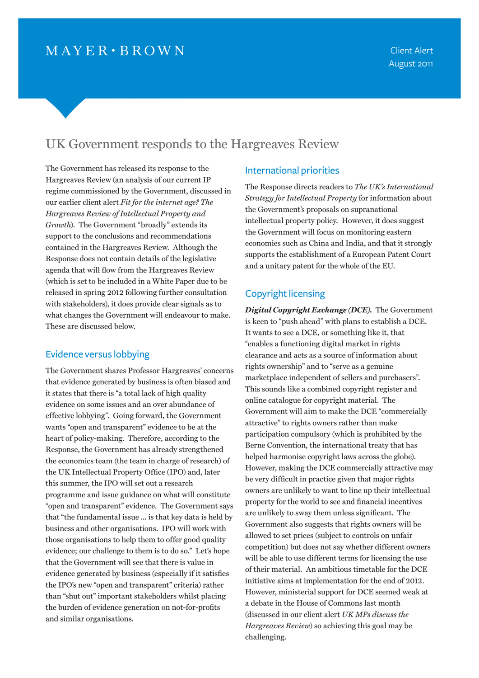# UK Government responds to the Hargreaves Review

The Government has released its response to the Hargreaves Review (an analysis of our current IP regime commissioned by the Government, discussed in our earlier client alert *[Fit for the internet age? The](http://www.mayerbrown.com/publications/article.asp?id=11021&nid=6)  [Hargreaves Review of Intellectual Property and](http://www.mayerbrown.com/publications/article.asp?id=11021&nid=6)  [Growth](http://www.mayerbrown.com/publications/article.asp?id=11021&nid=6)*). The Government "broadly" extends its support to the conclusions and recommendations contained in the Hargreaves Review. Although the Response does not contain details of the legislative agenda that will flow from the Hargreaves Review (which is set to be included in a White Paper due to be released in spring 2012 following further consultation with stakeholders), it does provide clear signals as to what changes the Government will endeavour to make. These are discussed below.

#### Evidence versus lobbying

The Government shares Professor Hargreaves' concerns that evidence generated by business is often biased and it states that there is "a total lack of high quality evidence on some issues and an over abundance of effective lobbying". Going forward, the Government wants "open and transparent" evidence to be at the heart of policy-making. Therefore, according to the Response, the Government has already strengthened the economics team (the team in charge of research) of the UK Intellectual Property Office (IPO) and, later this summer, the IPO will set out a research programme and issue guidance on what will constitute "open and transparent" evidence. The Government says that "the fundamental issue ... is that key data is held by business and other organisations. IPO will work with those organisations to help them to offer good quality evidence; our challenge to them is to do so." Let's hope that the Government will see that there is value in evidence generated by business (especially if it satisfies the IPO's new "open and transparent" criteria) rather than "shut out" important stakeholders whilst placing the burden of evidence generation on not-for-profits and similar organisations.

#### International priorities

The Response directs readers to *[The UK's International](http://www.ipo.gov.uk/ipresponse-international.pdf)  [Strategy for Intellectual Property](http://www.ipo.gov.uk/ipresponse-international.pdf)* for information about the Government's proposals on supranational intellectual property policy. However, it does suggest the Government will focus on monitoring eastern economies such as China and India, and that it strongly supports the establishment of a European Patent Court and a unitary patent for the whole of the EU.

#### Copyright licensing

*Digital Copyright Exchange (DCE).*The Government is keen to "push ahead" with plans to establish a DCE. It wants to see a DCE, or something like it, that "enables a functioning digital market in rights clearance and acts as a source of information about rights ownership" and to "serve as a genuine marketplace independent of sellers and purchasers". This sounds like a combined copyright register and online catalogue for copyright material. The Government will aim to make the DCE "commercially attractive" to rights owners rather than make participation compulsory (which is prohibited by the Berne Convention, the international treaty that has helped harmonise copyright laws across the globe). However, making the DCE commercially attractive may be very difficult in practice given that major rights owners are unlikely to want to line up their intellectual property for the world to see and financial incentives are unlikely to sway them unless significant. The Government also suggests that rights owners will be allowed to set prices (subject to controls on unfair competition) but does not say whether different owners will be able to use different terms for licensing the use of their material. An ambitious timetable for the DCE initiative aims at implementation for the end of 2012. However, ministerial support for DCE seemed weak at a debate in the House of Commons last month (discussed in our client alert *[UK MPs discuss the](http://www.mayerbrown.com/publications/article.asp?id=11261&nid=6)  [Hargreaves Review](http://www.mayerbrown.com/publications/article.asp?id=11261&nid=6)*) so achieving this goal may be challenging.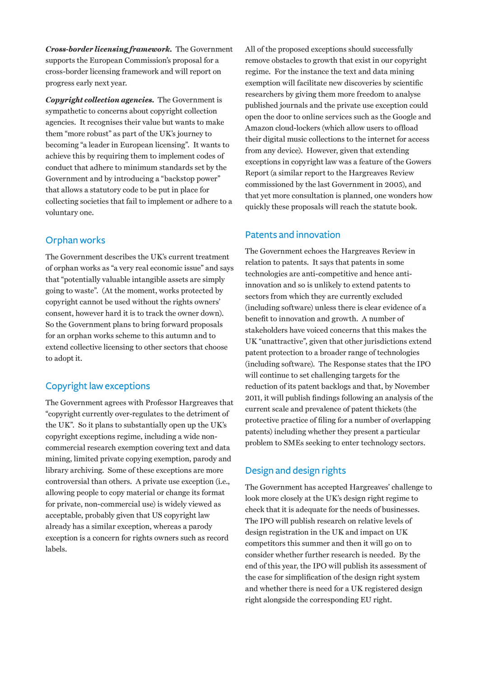*Cross-border licensing framework.*The Government supports the European Commission's proposal for a cross-border licensing framework and will report on progress early next year.

*Copyright collection agencies.*The Government is sympathetic to concerns about copyright collection agencies. It recognises their value but wants to make them "more robust" as part of the UK's journey to becoming "a leader in European licensing". It wants to achieve this by requiring them to implement codes of conduct that adhere to minimum standards set by the Government and by introducing a "backstop power" that allows a statutory code to be put in place for collecting societies that fail to implement or adhere to a voluntary one.

#### Orphan works

The Government describes the UK's current treatment of orphan works as "a very real economic issue" and says that "potentially valuable intangible assets are simply going to waste". (At the moment, works protected by copyright cannot be used without the rights owners' consent, however hard it is to track the owner down). So the Government plans to bring forward proposals for an orphan works scheme to this autumn and to extend collective licensing to other sectors that choose to adopt it.

## Copyright law exceptions

The Government agrees with Professor Hargreaves that "copyright currently over-regulates to the detriment of the UK". So it plans to substantially open up the UK's copyright exceptions regime, including a wide noncommercial research exemption covering text and data mining, limited private copying exemption, parody and library archiving. Some of these exceptions are more controversial than others. A private use exception (i.e., allowing people to copy material or change its format for private, non-commercial use) is widely viewed as acceptable, probably given that US copyright law already has a similar exception, whereas a parody exception is a concern for rights owners such as record labels.

All of the proposed exceptions should successfully remove obstacles to growth that exist in our copyright regime. For the instance the text and data mining exemption will facilitate new discoveries by scientific researchers by giving them more freedom to analyse published journals and the private use exception could open the door to online services such as the Google and Amazon cloud-lockers (which allow users to offload their digital music collections to the internet for access from any device). However, given that extending exceptions in copyright law was a feature of the Gowers Report (a similar report to the Hargreaves Review commissioned by the last Government in 2005), and that yet more consultation is planned, one wonders how quickly these proposals will reach the statute book.

## Patents and innovation

The Government echoes the Hargreaves Review in relation to patents. It says that patents in some technologies are anti-competitive and hence antiinnovation and so is unlikely to extend patents to sectors from which they are currently excluded (including software) unless there is clear evidence of a benefit to innovation and growth. A number of stakeholders have voiced concerns that this makes the UK "unattractive", given that other jurisdictions extend patent protection to a broader range of technologies (including software). The Response states that the IPO will continue to set challenging targets for the reduction of its patent backlogs and that, by November 2011, it will publish findings following an analysis of the current scale and prevalence of patent thickets (the protective practice of filing for a number of overlapping patents) including whether they present a particular problem to SMEs seeking to enter technology sectors.

# Design and design rights

The Government has accepted Hargreaves' challenge to look more closely at the UK's design right regime to check that it is adequate for the needs of businesses. The IPO will publish research on relative levels of design registration in the UK and impact on UK competitors this summer and then it will go on to consider whether further research is needed. By the end of this year, the IPO will publish its assessment of the case for simplification of the design right system and whether there is need for a UK registered design right alongside the corresponding EU right.